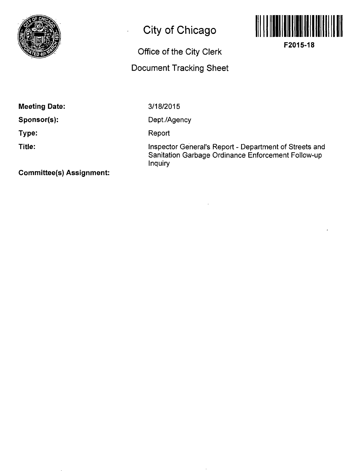

# **City of Chicago**

 $\overline{a}$ 

# **Office of the City Clerk**

# **Document Tracking Sheet**



**F2015-18** 

**Meeting Date:** 

**Sponsor(s):** 

**Type:** 

**Title:** 

3/18/2015

Dept./Agency

**Report** 

Inspector General's Report - Department of Streets and Sanitation Garbage Ordinance Enforcement Follow-up Inquiry

**Committee(s) Assignment:**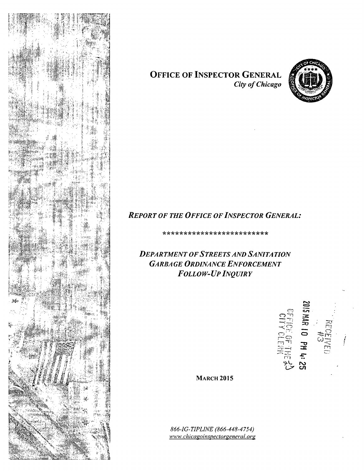

## **OFFICE OF INSPECTOR GENERAL**  *City of Chicago*



# *REPORT OF THE OFFICE OF INSPECTOR GENERAL:*

**\*\*\*\*\*\*\*\*\*\*\*\*\*\*\*\*\*\*\*\*\*\*\*\* \*** 

*DEPARTMENT OF STREETS AND SANITA TION GARBAGE ORDINANCE ENFORCEMENT FOLLOW-UP INQUIRY* 



**MARCH 2015** 

*866-IG-TIPLINE (866-448-4754) M'vt'M'. chiccieoimpectorgenercil. org*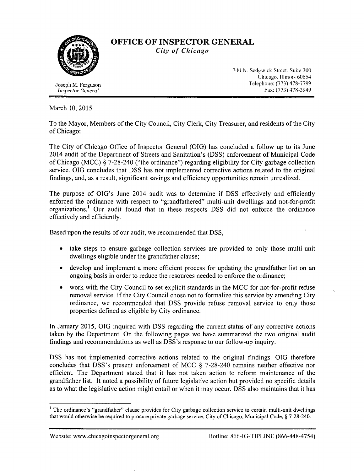

### OFFICE OF INSPECTOR GENERAL City of Chicago

**Inspector General** 

740 N. Sedgwick Street. Suite 200 Chicago. Illinois 60654<br>Telephone: (773) 478-7799 .losepli M. l^crgiuson Telephone: (773) 478-7799

March 10,2015

To the Mayor, Members of the City Council, City Clerk, City Treasurer, and residents of the City of Chicago:

The City of Chicago Office of Inspector General (OIG) has concluded a follow up to its June 2014 audit of the Department of Streets and Sanitation's (DSS) enforcement of Municipal Code of Chicago (MCC) § 7-28-240 ("the ordinance") regarding eligibility for City garbage collection service. OIG concludes that DSS has not implemented corrective actions related to the original fmdings, and, as a result, significant savings and efficiency opportunities remain unrealized.

The purpose of OIG's June 2014 audit was to determine if DSS effectively and efficientty enforced the ordinance with respect to "grandfathered" multi-unit dwellings and not-for-profit organizations.<sup>1</sup> Our audit found that in these respects DSS did not enforce the ordinance effectively and efficiently.

Based upon the results of our audit, we recommended that DSS,

- take steps to ensure garbage collection services are provided to only those multi-unit dwellings eligible under the grandfather clause;
- develop and implement a more efficient process for updating the grandfather list on an ongoing basis in order to reduce the resources needed to enforce the ordinance;
- work with the City Council to set explicit standards in the MCC for not-for-profit refuse removal service. If the City Council chose not to formalize this service by amending City ordinance, we recommended that DSS provide refuse removal service to only those properties defined as eligible by City ordinance.

In January 2015, OIG inquired with DSS regarding the current status of any corrective actions taken by the Department. On the following pages wc have summarized the two original audit findings and recommendations as well as DSS's response to our follow-up inquiry.

DSS has not implemented corrective actions related to the original findings. OIG therefore concludes that DSS's present enforcement of MCC § 7-28-240 remains neither effective nor efficient. The Department stated that it has not taken action to reform maintenance of the grandfather list. It noted a possibility of future legislative action but provided no specific details as to what the legislative action might entail or when it may occur. DSS also maintains that it has

<sup>&</sup>lt;sup>1</sup> The ordinance's "grandfather" clause provides for City garbage collection service to certain multi-unit dwellings that would otherwise be required to procure private garbage service. City of Chicago, Municipal Code, § 7-28-240.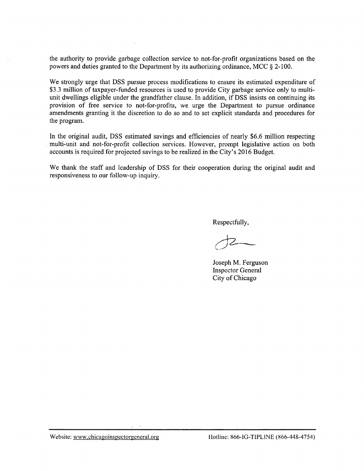the authority to provide garbage collecfion service to not-for-profit organizafions based on the powers and duties granted to the Department by its authorizing ordinance, MCC § 2-100.

We strongly urge that DSS pursue process modifications to ensure its estimated expenditure of \$3.3 million of taxpayer-funded resources is used to provide City garbage service only to multiunit dwellings eligible under the grandfather clause. In addifion, if DSS insists on continuing its provision of free service to not-for-profits, we urge the Department to pursue ordinance amendments granting it the discretion to do so and to set explicit standards and procedures for the program.

In the original audit, DSS estimated savings and efficiencies of nearly \$6.6 million respecting multi-unit and not-for-profit collection services. However, prompt legislative action on both accounts is required for projected savings to be realized in the City's 2016 Budget.

We thank the staff and leadership of DSS for their cooperation during the original audit and responsiveness to our follow-up inquiry.

Respectfully,

Joseph M. Ferguson Inspector General City of Chicago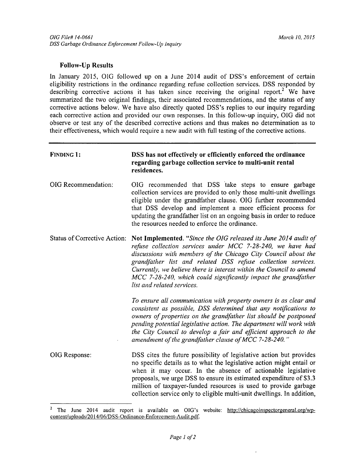### **Follow-Up Results**

In January 2015, OIG followed up on a June 2014 audit of DSS's enforcement of certain eligibility restrictions in the ordinance regarding refuse collection services. DSS responded by describing corrective actions it has taken since receiving the original report.<sup>2</sup> We have summarized the two original findings, their associated recommendations, and the status of any correcfive actions below. We have also directly quoted DSS's replies to our inquiry regarding each corrective action and provided our own responses. In this follow-up inquiry, OIG did not observe or test any of the described corrective actions and thus makes no determination as to their effectiveness, which would require a new audit with full testing of the corrective actions.

| <b>FINDING 1:</b>                   | DSS has not effectively or efficiently enforced the ordinance<br>regarding garbage collection service to multi-unit rental<br>residences.                                                                                                                                                                                                                                                                                              |
|-------------------------------------|----------------------------------------------------------------------------------------------------------------------------------------------------------------------------------------------------------------------------------------------------------------------------------------------------------------------------------------------------------------------------------------------------------------------------------------|
| OIG Recommendation:                 | OIG recommended that DSS take steps to ensure garbage<br>collection services are provided to only those multi-unit dwellings<br>eligible under the grandfather clause. OIG further recommended<br>that DSS develop and implement a more efficient process for<br>updating the grandfather list on an ongoing basis in order to reduce<br>the resources needed to enforce the ordinance.                                                |
| <b>Status of Corrective Action:</b> | Not Implemented. "Since the OIG released its June 2014 audit of<br>refuse collection services under MCC 7-28-240, we have had<br>discussions with members of the Chicago City Council about the<br>grandfather list and related DSS refuse collection services.<br>Currently, we believe there is interest within the Council to amend<br>MCC 7-28-240, which could significantly impact the grandfather<br>list and related services. |
|                                     | To ensure all communication with property owners is as clear and<br>consistent as possible, DSS determined that any notifications to<br>owners of properties on the grandfather list should be postponed<br>pending potential legislative action. The department will work with<br>the City Council to develop a fair and efficient approach to the<br>amendment of the grandfather clause of MCC 7-28-240."                           |
| OIG Response:                       | DSS cites the future possibility of legislative action but provides<br>no specific details as to what the legislative action might entail or<br>when it may occur. In the absence of actionable legislative<br>proposals, we urge DSS to ensure its estimated expenditure of \$3.3<br>million of taxpayer-funded resources is used to provide garbage<br>collection service only to eligible multi-unit dwellings. In addition,        |

<sup>&</sup>lt;sup>2</sup> The June 2014 audit report is available on OIG's website: http://chicagoinspectorgeneral.org/wpcontent/uploads/2014/06/DSS-Ordinance-Enforcement-Audit.pdf.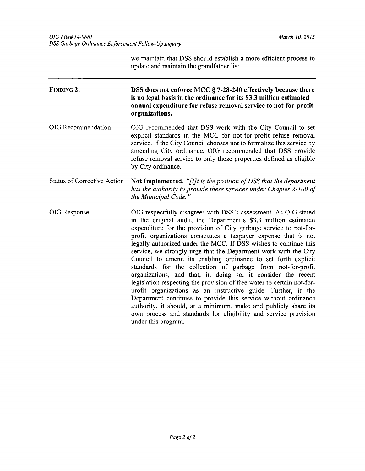we maintain that DSS should establish a more efficient process to update and maintain the grandfather list.

| <b>FINDING 2:</b>                   | DSS does not enforce MCC § 7-28-240 effectively because there<br>is no legal basis in the ordinance for its \$3.3 million estimated<br>annual expenditure for refuse removal service to not-for-profit<br>organizations.                                                                                                                                                                                                                                                                                                                                                                                                                                                                                                                                                                                                                                                                                                                                                                     |
|-------------------------------------|----------------------------------------------------------------------------------------------------------------------------------------------------------------------------------------------------------------------------------------------------------------------------------------------------------------------------------------------------------------------------------------------------------------------------------------------------------------------------------------------------------------------------------------------------------------------------------------------------------------------------------------------------------------------------------------------------------------------------------------------------------------------------------------------------------------------------------------------------------------------------------------------------------------------------------------------------------------------------------------------|
| OIG Recommendation:                 | OIG recommended that DSS work with the City Council to set<br>explicit standards in the MCC for not-for-profit refuse removal<br>service. If the City Council chooses not to formalize this service by<br>amending City ordinance, OIG recommended that DSS provide<br>refuse removal service to only those properties defined as eligible<br>by City ordinance.                                                                                                                                                                                                                                                                                                                                                                                                                                                                                                                                                                                                                             |
| <b>Status of Corrective Action:</b> | Not Implemented. "[I]t is the position of DSS that the department<br>has the authority to provide these services under Chapter 2-100 of<br>the Municipal Code."                                                                                                                                                                                                                                                                                                                                                                                                                                                                                                                                                                                                                                                                                                                                                                                                                              |
| OIG Response:                       | OIG respectfully disagrees with DSS's assessment. As OIG stated<br>in the original audit, the Department's \$3.3 million estimated<br>expenditure for the provision of City garbage service to not-for-<br>profit organizations constitutes a taxpayer expense that is not<br>legally authorized under the MCC. If DSS wishes to continue this<br>service, we strongly urge that the Department work with the City<br>Council to amend its enabling ordinance to set forth explicit<br>standards for the collection of garbage from not-for-profit<br>organizations, and that, in doing so, it consider the recent<br>legislation respecting the provision of free water to certain not-for-<br>profit organizations as an instructive guide. Further, if the<br>Department continues to provide this service without ordinance<br>authority, it should, at a minimum, make and publicly share its<br>own process and standards for eligibility and service provision<br>under this program. |

 $\ddot{\phantom{0}}$